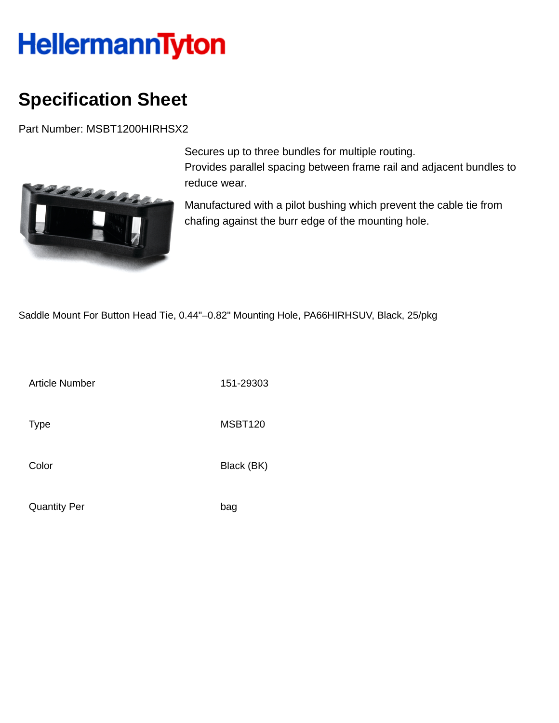## **HellermannTyton**

## **Specification Sheet**

Part Number: MSBT1200HIRHSX2



Secures up to three bundles for multiple routing. Provides parallel spacing between frame rail and adjacent bundles to reduce wear.

Manufactured with a pilot bushing which prevent the cable tie from chafing against the burr edge of the mounting hole.

Saddle Mount For Button Head Tie, 0.44"–0.82" Mounting Hole, PA66HIRHSUV, Black, 25/pkg

Article Number 151-29303

Type MSBT120

Color Black (BK)

Quantity Per bag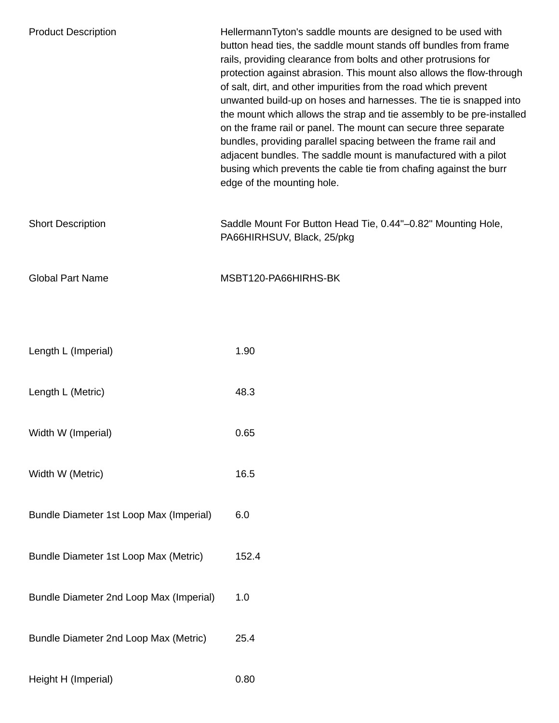| <b>Product Description</b>              | HellermannTyton's saddle mounts are designed to be used with<br>button head ties, the saddle mount stands off bundles from frame<br>rails, providing clearance from bolts and other protrusions for<br>protection against abrasion. This mount also allows the flow-through<br>of salt, dirt, and other impurities from the road which prevent<br>unwanted build-up on hoses and harnesses. The tie is snapped into<br>the mount which allows the strap and tie assembly to be pre-installed<br>on the frame rail or panel. The mount can secure three separate<br>bundles, providing parallel spacing between the frame rail and<br>adjacent bundles. The saddle mount is manufactured with a pilot<br>busing which prevents the cable tie from chafing against the burr<br>edge of the mounting hole. |
|-----------------------------------------|---------------------------------------------------------------------------------------------------------------------------------------------------------------------------------------------------------------------------------------------------------------------------------------------------------------------------------------------------------------------------------------------------------------------------------------------------------------------------------------------------------------------------------------------------------------------------------------------------------------------------------------------------------------------------------------------------------------------------------------------------------------------------------------------------------|
| <b>Short Description</b>                | Saddle Mount For Button Head Tie, 0.44"-0.82" Mounting Hole,<br>PA66HIRHSUV, Black, 25/pkg                                                                                                                                                                                                                                                                                                                                                                                                                                                                                                                                                                                                                                                                                                              |
| <b>Global Part Name</b>                 | MSBT120-PA66HIRHS-BK                                                                                                                                                                                                                                                                                                                                                                                                                                                                                                                                                                                                                                                                                                                                                                                    |
|                                         |                                                                                                                                                                                                                                                                                                                                                                                                                                                                                                                                                                                                                                                                                                                                                                                                         |
| Length L (Imperial)                     | 1.90                                                                                                                                                                                                                                                                                                                                                                                                                                                                                                                                                                                                                                                                                                                                                                                                    |
| Length L (Metric)                       | 48.3                                                                                                                                                                                                                                                                                                                                                                                                                                                                                                                                                                                                                                                                                                                                                                                                    |
| Width W (Imperial)                      | 0.65                                                                                                                                                                                                                                                                                                                                                                                                                                                                                                                                                                                                                                                                                                                                                                                                    |
| Width W (Metric)                        | 16.5                                                                                                                                                                                                                                                                                                                                                                                                                                                                                                                                                                                                                                                                                                                                                                                                    |
| Bundle Diameter 1st Loop Max (Imperial) | 6.0                                                                                                                                                                                                                                                                                                                                                                                                                                                                                                                                                                                                                                                                                                                                                                                                     |
| Bundle Diameter 1st Loop Max (Metric)   | 152.4                                                                                                                                                                                                                                                                                                                                                                                                                                                                                                                                                                                                                                                                                                                                                                                                   |
| Bundle Diameter 2nd Loop Max (Imperial) | 1.0                                                                                                                                                                                                                                                                                                                                                                                                                                                                                                                                                                                                                                                                                                                                                                                                     |
| Bundle Diameter 2nd Loop Max (Metric)   | 25.4                                                                                                                                                                                                                                                                                                                                                                                                                                                                                                                                                                                                                                                                                                                                                                                                    |
| Height H (Imperial)                     | 0.80                                                                                                                                                                                                                                                                                                                                                                                                                                                                                                                                                                                                                                                                                                                                                                                                    |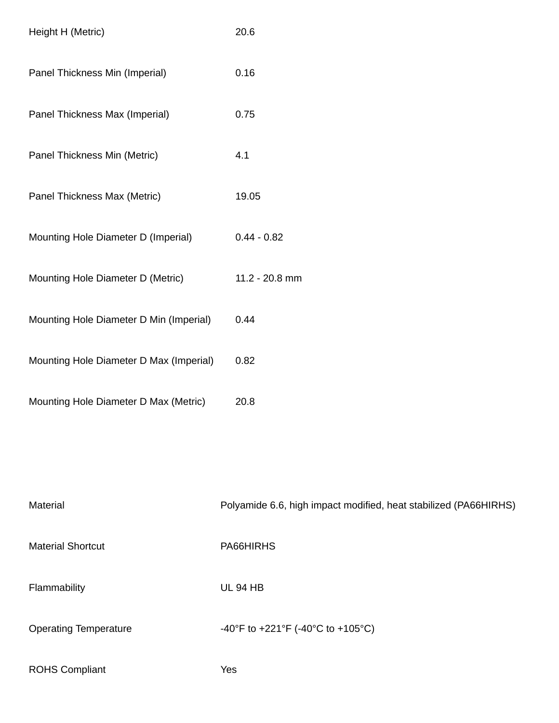| Height H (Metric)                       | 20.6           |
|-----------------------------------------|----------------|
| Panel Thickness Min (Imperial)          | 0.16           |
| Panel Thickness Max (Imperial)          | 0.75           |
| Panel Thickness Min (Metric)            | 4.1            |
| Panel Thickness Max (Metric)            | 19.05          |
| Mounting Hole Diameter D (Imperial)     | $0.44 - 0.82$  |
| Mounting Hole Diameter D (Metric)       | 11.2 - 20.8 mm |
| Mounting Hole Diameter D Min (Imperial) | 0.44           |
| Mounting Hole Diameter D Max (Imperial) | 0.82           |
| Mounting Hole Diameter D Max (Metric)   | 20.8           |

| Material                     | Polyamide 6.6, high impact modified, heat stabilized (PA66HIRHS) |
|------------------------------|------------------------------------------------------------------|
| <b>Material Shortcut</b>     | PA66HIRHS                                                        |
| Flammability                 | <b>UL 94 HB</b>                                                  |
| <b>Operating Temperature</b> | -40°F to +221°F (-40°C to +105°C)                                |
| <b>ROHS Compliant</b>        | Yes                                                              |